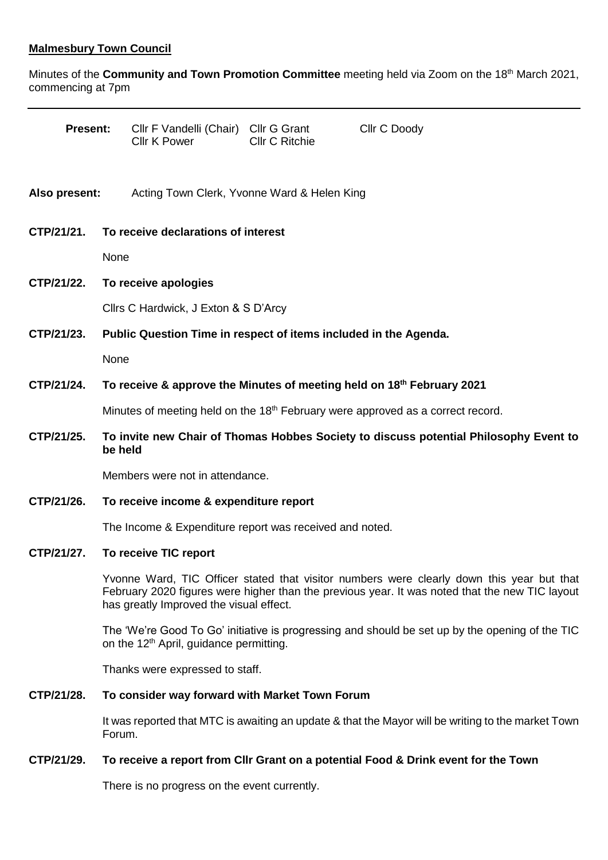# **Malmesbury Town Council**

Minutes of the **Community and Town Promotion Committee** meeting held via Zoom on the 18th March 2021, commencing at 7pm

| <b>Present:</b> |                                                                                                  | Cllr F Vandelli (Chair) Cllr G Grant<br><b>Cllr K Power</b> | <b>CIIr C Ritchie</b> | Cllr C Doody                                                                                                                                                                                |  |
|-----------------|--------------------------------------------------------------------------------------------------|-------------------------------------------------------------|-----------------------|---------------------------------------------------------------------------------------------------------------------------------------------------------------------------------------------|--|
| Also present:   |                                                                                                  | Acting Town Clerk, Yvonne Ward & Helen King                 |                       |                                                                                                                                                                                             |  |
| CTP/21/21.      | To receive declarations of interest                                                              |                                                             |                       |                                                                                                                                                                                             |  |
|                 | None                                                                                             |                                                             |                       |                                                                                                                                                                                             |  |
| CTP/21/22.      |                                                                                                  | To receive apologies                                        |                       |                                                                                                                                                                                             |  |
|                 |                                                                                                  | Cllrs C Hardwick, J Exton & S D'Arcy                        |                       |                                                                                                                                                                                             |  |
| CTP/21/23.      | Public Question Time in respect of items included in the Agenda.                                 |                                                             |                       |                                                                                                                                                                                             |  |
|                 | None                                                                                             |                                                             |                       |                                                                                                                                                                                             |  |
| CTP/21/24.      | To receive & approve the Minutes of meeting held on 18th February 2021                           |                                                             |                       |                                                                                                                                                                                             |  |
|                 | Minutes of meeting held on the 18 <sup>th</sup> February were approved as a correct record.      |                                                             |                       |                                                                                                                                                                                             |  |
| CTP/21/25.      | To invite new Chair of Thomas Hobbes Society to discuss potential Philosophy Event to<br>be held |                                                             |                       |                                                                                                                                                                                             |  |
|                 | Members were not in attendance.                                                                  |                                                             |                       |                                                                                                                                                                                             |  |
| CTP/21/26.      | To receive income & expenditure report                                                           |                                                             |                       |                                                                                                                                                                                             |  |
|                 | The Income & Expenditure report was received and noted.                                          |                                                             |                       |                                                                                                                                                                                             |  |
| CTP/21/27.      | To receive TIC report                                                                            |                                                             |                       |                                                                                                                                                                                             |  |
|                 |                                                                                                  | has greatly Improved the visual effect.                     |                       | Yvonne Ward, TIC Officer stated that visitor numbers were clearly down this year but that<br>February 2020 figures were higher than the previous year. It was noted that the new TIC layout |  |
|                 |                                                                                                  | on the 12 <sup>th</sup> April, guidance permitting.         |                       | The 'We're Good To Go' initiative is progressing and should be set up by the opening of the TIC                                                                                             |  |
|                 | Thanks were expressed to staff.                                                                  |                                                             |                       |                                                                                                                                                                                             |  |
| CTP/21/28.      | To consider way forward with Market Town Forum                                                   |                                                             |                       |                                                                                                                                                                                             |  |
|                 | Forum.                                                                                           |                                                             |                       | It was reported that MTC is awaiting an update & that the Mayor will be writing to the market Town                                                                                          |  |

# **CTP/21/29. To receive a report from Cllr Grant on a potential Food & Drink event for the Town**

There is no progress on the event currently.